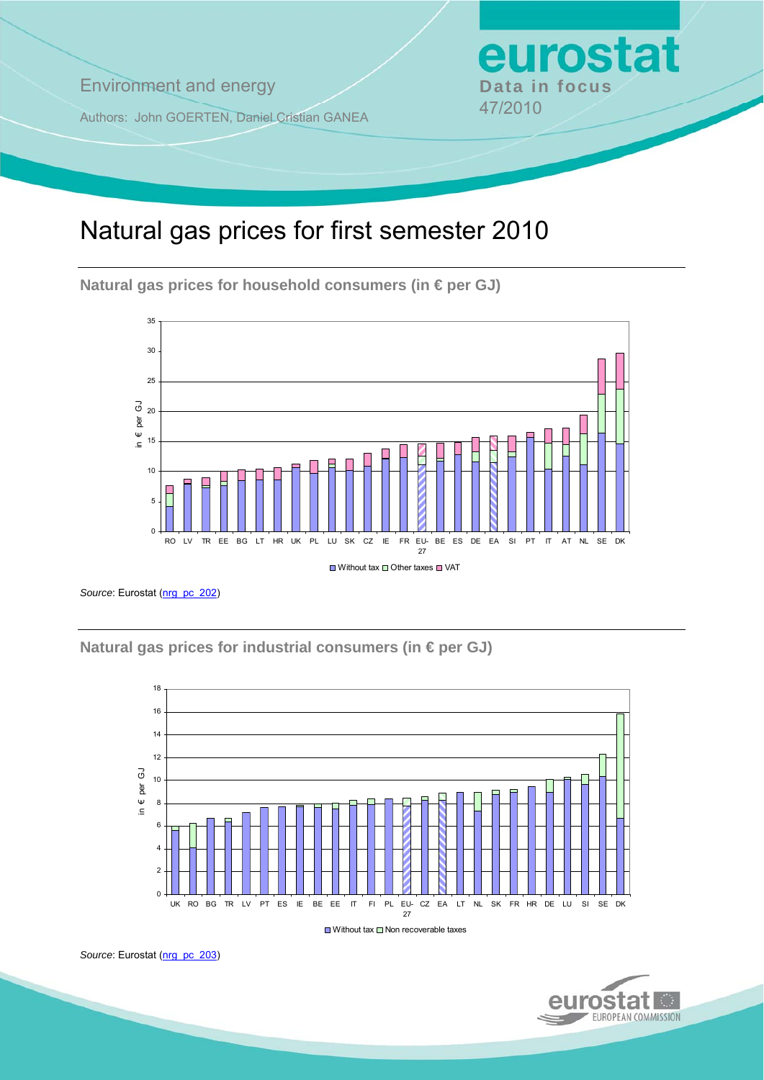**Environment and energy by Data in focus** 

Authors: John GOERTEN, Daniel Cristian GANEA 47/2010

# Natural gas prices for first semester 2010

**Natural gas prices for household consumers (in € per GJ)** 



Source: Eurostat [\(nrg\\_pc\\_202](http://ec.europa.eu/eurostat/product?mode=view&code=nrg_pc_202))

**Natural gas prices for industrial consumers (in € per GJ)** 



 $\Box$  Without tax  $\Box$  Non recoverable taxes





eurostat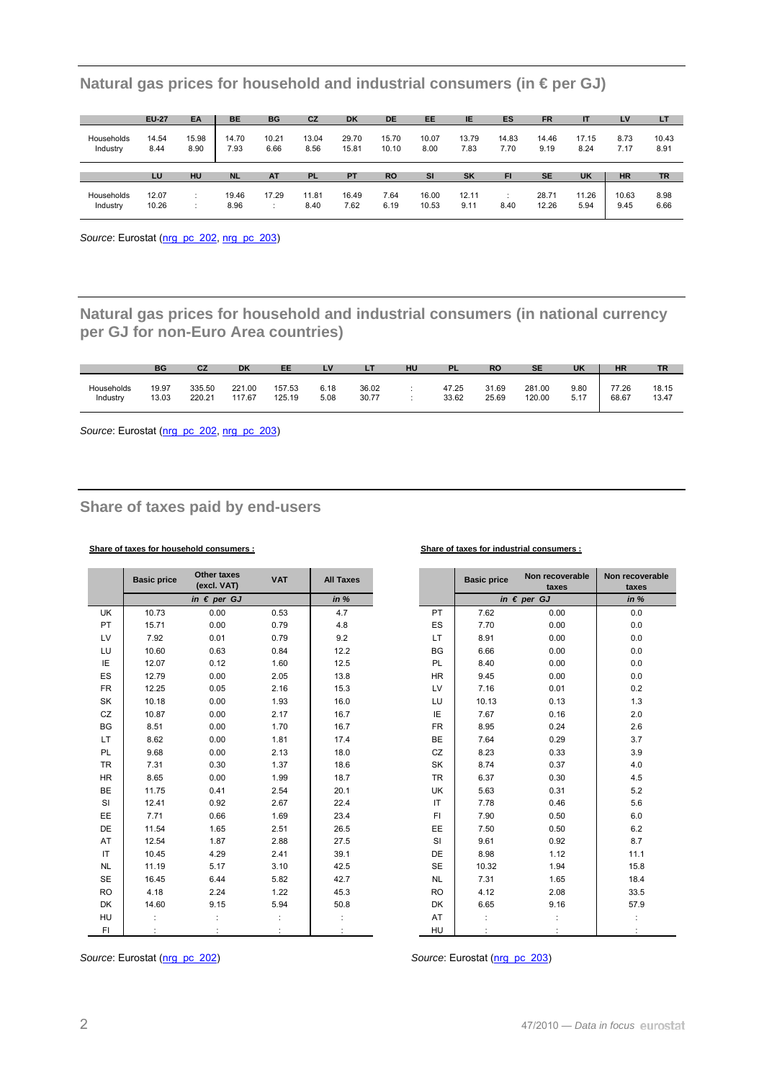|                        | <b>EU-27</b>  | EA            | <b>BE</b>     | <b>BG</b>     | <b>CZ</b>     | <b>DK</b>      | <b>DE</b>      | <b>EE</b>     | IE.           | ES            | <b>FR</b>     | IT            | LV           | LT            |
|------------------------|---------------|---------------|---------------|---------------|---------------|----------------|----------------|---------------|---------------|---------------|---------------|---------------|--------------|---------------|
| Households<br>Industry | 14.54<br>8.44 | 15.98<br>8.90 | 14.70<br>7.93 | 10.21<br>6.66 | 13.04<br>8.56 | 29.70<br>15.81 | 15.70<br>10.10 | 10.07<br>8.00 | 13.79<br>7.83 | 14.83<br>7.70 | 14.46<br>9.19 | 17.15<br>8.24 | 8.73<br>7.17 | 10.43<br>8.91 |
|                        |               |               |               |               |               |                |                |               |               |               |               |               |              |               |
|                        | LU            | HU            | <b>NL</b>     | <b>AT</b>     | <b>PL</b>     | <b>PT</b>      | <b>RO</b>      | <b>SI</b>     | SK            | FI            | <b>SE</b>     | <b>UK</b>     | <b>HR</b>    | <b>TR</b>     |

**Natural gas prices for household and industrial consumers (in € per GJ)** 

Source: Eurostat ([nrg\\_pc\\_202,](http://ec.europa.eu/eurostat/product?mode=view&code=nrg_pc_202) [nrg\\_pc\\_203\)](http://ec.europa.eu/eurostat/product?mode=view&code=nrg_pc_203)

**Natural gas prices for household and industrial consumers (in national currency per GJ for non-Euro Area countries)** 

|            | <b>BG</b> | CZ     | DK     | EE     | $\mathbf{v}$<br><b>. v</b> | . .   | HU | PL.   | <b>RO</b> | <b>SE</b> | <b>UK</b> | <b>HR</b> | <b>TR</b> |
|------------|-----------|--------|--------|--------|----------------------------|-------|----|-------|-----------|-----------|-----------|-----------|-----------|
| Households | 19.97     | 335.50 | 221.00 | 157.53 | 6.18                       | 36.02 |    | 47.25 | 31.69     | 281.00    | 9.80      | 77.26     | 18.15     |
| Industry   | 13.03     | 220.21 | 117.67 | 125.19 | 5.08                       | 30.77 |    | 33.62 | 25.69     | 120.00    | 5.17      | 68.67     | 13.47     |

Source: Eurostat ([nrg\\_pc\\_202](http://ec.europa.eu/eurostat/product?mode=view&code=nrg_pc_202), [nrg\\_pc\\_203\)](http://ec.europa.eu/eurostat/product?mode=view&code=nrg_pc_203)

## **Share of taxes paid by end-users**

### **Share of taxes for household consumers : Share of taxes for industrial consumers :**

|           | <b>Basic price</b> | <b>Other taxes</b><br>(excl. VAT) | <b>VAT</b> | <b>All Taxes</b> |           | <b>Basic price</b> | Non recoverable<br>taxes | Non recov<br>taxe: |
|-----------|--------------------|-----------------------------------|------------|------------------|-----------|--------------------|--------------------------|--------------------|
|           |                    | in $\epsilon$ per GJ              |            | in $%$           |           |                    | in $\epsilon$ per GJ     | in $%$             |
| <b>UK</b> | 10.73              | 0.00                              | 0.53       | 4.7              | <b>PT</b> | 7.62               | 0.00                     | 0.0                |
| PT        | 15.71              | 0.00                              | 0.79       | 4.8              | ES        | 7.70               | 0.00                     | 0.0                |
| LV        | 7.92               | 0.01                              | 0.79       | 9.2              | LT.       | 8.91               | 0.00                     | 0.0                |
| LU        | 10.60              | 0.63                              | 0.84       | 12.2             | <b>BG</b> | 6.66               | 0.00                     | $0.0\,$            |
| IE        | 12.07              | 0.12                              | 1.60       | 12.5             | <b>PL</b> | 8.40               | 0.00                     | 0.0                |
| ES        | 12.79              | 0.00                              | 2.05       | 13.8             | <b>HR</b> | 9.45               | 0.00                     | 0.0                |
| <b>FR</b> | 12.25              | 0.05                              | 2.16       | 15.3             | LV        | 7.16               | 0.01                     | 0.2                |
| SK        | 10.18              | 0.00                              | 1.93       | 16.0             | LU        | 10.13              | 0.13                     | $1.3$              |
| CZ        | 10.87              | 0.00                              | 2.17       | 16.7             | IE        | 7.67               | 0.16                     | 2.0                |
| BG        | 8.51               | 0.00                              | 1.70       | 16.7             | <b>FR</b> | 8.95               | 0.24                     | 2.6                |
| LT.       | 8.62               | 0.00                              | 1.81       | 17.4             | <b>BE</b> | 7.64               | 0.29                     | 3.7                |
| <b>PL</b> | 9.68               | 0.00                              | 2.13       | 18.0             | CZ        | 8.23               | 0.33                     | 3.9                |
| <b>TR</b> | 7.31               | 0.30                              | 1.37       | 18.6             | <b>SK</b> | 8.74               | 0.37                     | 4.0                |
| <b>HR</b> | 8.65               | 0.00                              | 1.99       | 18.7             | <b>TR</b> | 6.37               | 0.30                     | 4.5                |
| <b>BE</b> | 11.75              | 0.41                              | 2.54       | 20.1             | UK        | 5.63               | 0.31                     | 5.2                |
| SI        | 12.41              | 0.92                              | 2.67       | 22.4             | IT        | 7.78               | 0.46                     | 5.6                |
| EE        | 7.71               | 0.66                              | 1.69       | 23.4             | FI.       | 7.90               | 0.50                     | $6.0\,$            |
| DE        | 11.54              | 1.65                              | 2.51       | 26.5             | EE        | 7.50               | 0.50                     | 6.2                |
| AT        | 12.54              | 1.87                              | 2.88       | 27.5             | SI        | 9.61               | 0.92                     | 8.7                |
| IT        | 10.45              | 4.29                              | 2.41       | 39.1             | <b>DE</b> | 8.98               | 1.12                     | 11.1               |
| <b>NL</b> | 11.19              | 5.17                              | 3.10       | 42.5             | <b>SE</b> | 10.32              | 1.94                     | 15.8               |
| <b>SE</b> | 16.45              | 6.44                              | 5.82       | 42.7             | <b>NL</b> | 7.31               | 1.65                     | 18.4               |
| <b>RO</b> | 4.18               | 2.24                              | 1.22       | 45.3             | <b>RO</b> | 4.12               | 2.08                     | 33.5               |
| DK        | 14.60              | 9.15                              | 5.94       | 50.8             | DK        | 6.65               | 9.16                     | 57.9               |
| HU        |                    |                                   |            |                  | AT        |                    |                          |                    |
| FI.       |                    |                                   |            |                  | <b>HU</b> |                    |                          |                    |

| <b>Basic price</b> | Other taxes<br>(excl. VAT) | <b>VAT</b> | <b>All Taxes</b> |           | <b>Basic price</b> | Non recoverable<br>taxes | Non recoverable<br>taxes |
|--------------------|----------------------------|------------|------------------|-----------|--------------------|--------------------------|--------------------------|
|                    | in $\epsilon$ per GJ       |            | in %             |           |                    | in $\epsilon$ per GJ     | in %                     |
| 10.73              | 0.00                       | 0.53       | 4.7              | PT.       | 7.62               | 0.00                     | 0.0                      |
| 15.71              | 0.00                       | 0.79       | 4.8              | ES        | 7.70               | 0.00                     | 0.0                      |
| 7.92               | 0.01                       | 0.79       | 9.2              | <b>LT</b> | 8.91               | 0.00                     | 0.0                      |
| 10.60              | 0.63                       | 0.84       | 12.2             | BG        | 6.66               | 0.00                     | 0.0                      |
| 12.07              | 0.12                       | 1.60       | 12.5             | <b>PL</b> | 8.40               | 0.00                     | 0.0                      |
| 12.79              | 0.00                       | 2.05       | 13.8             | <b>HR</b> | 9.45               | 0.00                     | 0.0                      |
| 12.25              | 0.05                       | 2.16       | 15.3             | LV        | 7.16               | 0.01                     | 0.2                      |
| 10.18              | 0.00                       | 1.93       | 16.0             | LU        | 10.13              | 0.13                     | 1.3                      |
| 10.87              | 0.00                       | 2.17       | 16.7             | ΙE        | 7.67               | 0.16                     | 2.0                      |
| 8.51               | 0.00                       | 1.70       | 16.7             | <b>FR</b> | 8.95               | 0.24                     | 2.6                      |
| 8.62               | 0.00                       | 1.81       | 17.4             | <b>BE</b> | 7.64               | 0.29                     | 3.7                      |
| 9.68               | 0.00                       | 2.13       | 18.0             | CZ        | 8.23               | 0.33                     | 3.9                      |
| 7.31               | 0.30                       | 1.37       | 18.6             | SK        | 8.74               | 0.37                     | 4.0                      |
| 8.65               | 0.00                       | 1.99       | 18.7             | <b>TR</b> | 6.37               | 0.30                     | 4.5                      |
| 11.75              | 0.41                       | 2.54       | 20.1             | <b>UK</b> | 5.63               | 0.31                     | 5.2                      |
| 12.41              | 0.92                       | 2.67       | 22.4             | IT        | 7.78               | 0.46                     | 5.6                      |
| 7.71               | 0.66                       | 1.69       | 23.4             | FI.       | 7.90               | 0.50                     | 6.0                      |
| 11.54              | 1.65                       | 2.51       | 26.5             | EE        | 7.50               | 0.50                     | 6.2                      |
| 12.54              | 1.87                       | 2.88       | 27.5             | SI        | 9.61               | 0.92                     | 8.7                      |
| 10.45              | 4.29                       | 2.41       | 39.1             | DE        | 8.98               | 1.12                     | 11.1                     |
| 11.19              | 5.17                       | 3.10       | 42.5             | <b>SE</b> | 10.32              | 1.94                     | 15.8                     |
| 16.45              | 6.44                       | 5.82       | 42.7             | <b>NL</b> | 7.31               | 1.65                     | 18.4                     |
| 4.18               | 2.24                       | 1.22       | 45.3             | <b>RO</b> | 4.12               | 2.08                     | 33.5                     |
| 14.60              | 9.15                       | 5.94       | 50.8             | <b>DK</b> | 6.65               | 9.16                     | 57.9                     |
|                    |                            |            |                  | AT        |                    |                          |                          |
|                    |                            |            |                  | <b>HU</b> |                    |                          |                          |

*Source*: Eurostat ([nrg\\_pc\\_202](http://ec.europa.eu/eurostat/product?mode=view&code=nrg_pc_202)) *Source*: Eurostat [\(nrg\\_pc\\_203](http://ec.europa.eu/eurostat/product?mode=view&code=nrg_pc_203))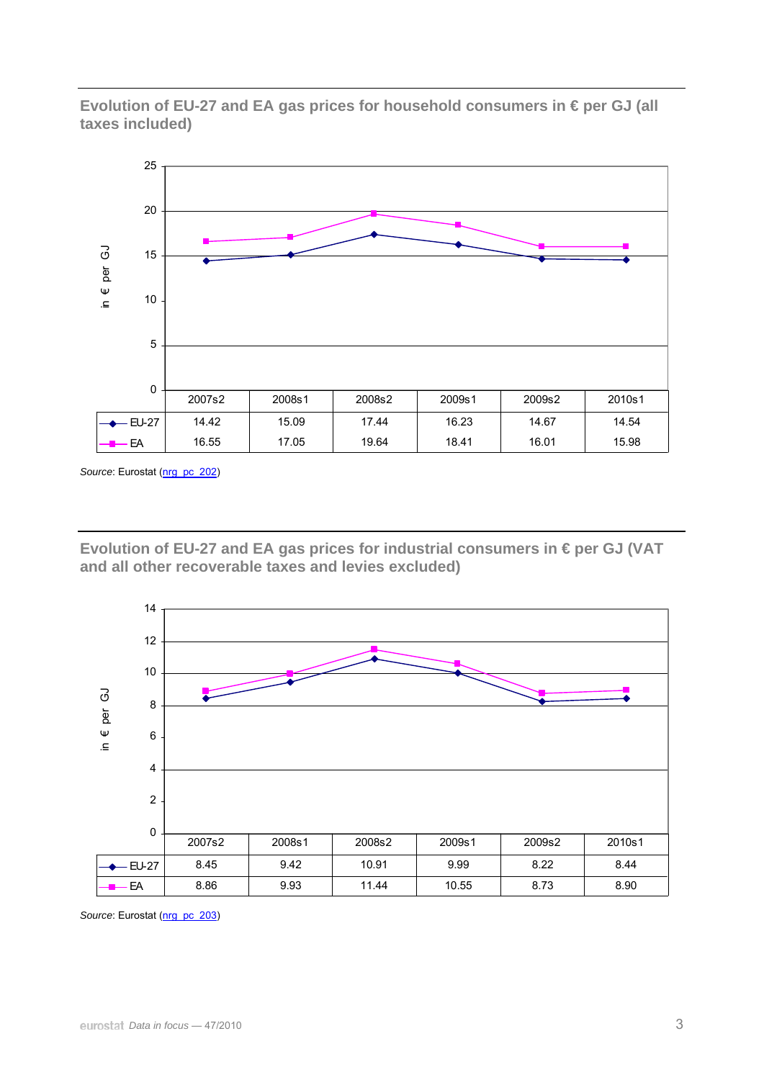**Evolution of EU-27 and EA gas prices for household consumers in € per GJ (all taxes included)** 



Source: Eurostat ([nrg\\_pc\\_202](http://ec.europa.eu/eurostat/product?mode=view&code=nrg_pc_202))

**Evolution of EU-27 and EA gas prices for industrial consumers in € per GJ (VAT and all other recoverable taxes and levies excluded)** 



Source: Eurostat (nrg\_pc\_203)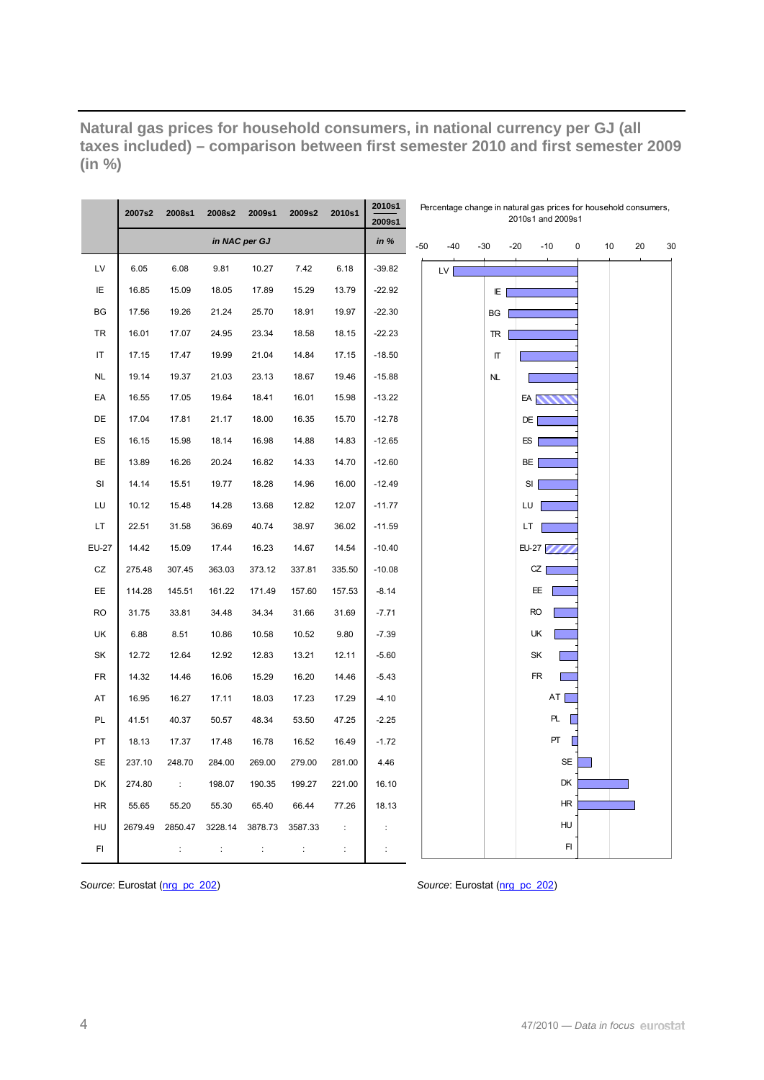**Natural gas prices for household consumers, in national currency per GJ (all taxes included) – comparison between first semester 2010 and first semester 2009 (in %)** 

|              | 2007s2  | 2008s1               | 2008s2               | 2009s1        | 2009s2         | 2010s1         | 2010s1<br>2009s1     |       |       |       |     | Percentage change in natural gas prices for household consumers,<br>2010s1 and 2009s1 |           |   |          |    |
|--------------|---------|----------------------|----------------------|---------------|----------------|----------------|----------------------|-------|-------|-------|-----|---------------------------------------------------------------------------------------|-----------|---|----------|----|
|              |         |                      |                      | in NAC per GJ |                |                | in $%$               | $-50$ | $-40$ | $-30$ |     | $-20$                                                                                 | $-10$     | 0 | 10<br>20 | 30 |
| LV           | 6.05    | 6.08                 | 9.81                 | 10.27         | 7.42           | 6.18           | $-39.82$             |       | LV    |       |     |                                                                                       |           |   |          |    |
| ΙE           | 16.85   | 15.09                | 18.05                | 17.89         | 15.29          | 13.79          | $-22.92$             |       |       |       | IE. |                                                                                       |           |   |          |    |
| BG           | 17.56   | 19.26                | 21.24                | 25.70         | 18.91          | 19.97          | $-22.30$             |       |       |       | BG  |                                                                                       |           |   |          |    |
| <b>TR</b>    | 16.01   | 17.07                | 24.95                | 23.34         | 18.58          | 18.15          | $-22.23$             |       |       |       | TR  |                                                                                       |           |   |          |    |
| IT           | 17.15   | 17.47                | 19.99                | 21.04         | 14.84          | 17.15          | $-18.50$             |       |       |       | Π   |                                                                                       |           |   |          |    |
| <b>NL</b>    | 19.14   | 19.37                | 21.03                | 23.13         | 18.67          | 19.46          | $-15.88$             |       |       |       | NL  |                                                                                       |           |   |          |    |
| EA           | 16.55   | 17.05                | 19.64                | 18.41         | 16.01          | 15.98          | $-13.22$             |       |       |       |     | EA <sub>N</sub>                                                                       |           |   |          |    |
| DE           | 17.04   | 17.81                | 21.17                | 18.00         | 16.35          | 15.70          | $-12.78$             |       |       |       |     | DE                                                                                    |           |   |          |    |
| ES           | 16.15   | 15.98                | 18.14                | 16.98         | 14.88          | 14.83          | $-12.65$             |       |       |       |     | ES                                                                                    |           |   |          |    |
| BE           | 13.89   | 16.26                | 20.24                | 16.82         | 14.33          | 14.70          | $-12.60$             |       |       |       |     | BE                                                                                    |           |   |          |    |
| SI           | 14.14   | 15.51                | 19.77                | 18.28         | 14.96          | 16.00          | $-12.49$             |       |       |       |     | SI                                                                                    |           |   |          |    |
| LU           | 10.12   | 15.48                | 14.28                | 13.68         | 12.82          | 12.07          | $-11.77$             |       |       |       |     | LU                                                                                    |           |   |          |    |
| LT           | 22.51   | 31.58                | 36.69                | 40.74         | 38.97          | 36.02          | $-11.59$             |       |       |       |     | LT                                                                                    |           |   |          |    |
| <b>EU-27</b> | 14.42   | 15.09                | 17.44                | 16.23         | 14.67          | 14.54          | $-10.40$             |       |       |       |     | <b>EU-27</b>                                                                          |           |   |          |    |
| CZ           | 275.48  | 307.45               | 363.03               | 373.12        | 337.81         | 335.50         | $-10.08$             |       |       |       |     | CZ                                                                                    |           |   |          |    |
| EE           | 114.28  | 145.51               | 161.22               | 171.49        | 157.60         | 157.53         | $-8.14$              |       |       |       |     | EE                                                                                    |           |   |          |    |
| <b>RO</b>    | 31.75   | 33.81                | 34.48                | 34.34         | 31.66          | 31.69          | $-7.71$              |       |       |       |     | <b>RO</b>                                                                             |           |   |          |    |
| UK           | 6.88    | 8.51                 | 10.86                | 10.58         | 10.52          | 9.80           | $-7.39$              |       |       |       |     | UK                                                                                    |           |   |          |    |
| SK           | 12.72   | 12.64                | 12.92                | 12.83         | 13.21          | 12.11          | $-5.60$              |       |       |       |     | SK                                                                                    |           |   |          |    |
| ${\sf FR}$   | 14.32   | 14.46                | 16.06                | 15.29         | 16.20          | 14.46          | $-5.43$              |       |       |       |     | <b>FR</b>                                                                             |           |   |          |    |
| AT           | 16.95   | 16.27                | 17.11                | 18.03         | 17.23          | 17.29          | $-4.10$              |       |       |       |     |                                                                                       | AT [      |   |          |    |
| PL           | 41.51   | 40.37                | 50.57                | 48.34         | 53.50          | 47.25          | $-2.25$              |       |       |       |     |                                                                                       | PL.       |   |          |    |
| PT           | 18.13   | 17.37                | 17.48                | 16.78         | 16.52          | 16.49          | $-1.72$              |       |       |       |     |                                                                                       | PT        |   |          |    |
| <b>SE</b>    | 237.10  | 248.70               | 284.00               | 269.00        | 279.00         | 281.00         | 4.46                 |       |       |       |     |                                                                                       | <b>SE</b> |   |          |    |
| DK           | 274.80  | $\therefore$         | 198.07               | 190.35        | 199.27         | 221.00         | 16.10                |       |       |       |     |                                                                                       | DK        |   |          |    |
| HR           | 55.65   | 55.20                | 55.30                | 65.40         | 66.44          | 77.26          | 18.13                |       |       |       |     |                                                                                       | HR        |   |          |    |
| HU           | 2679.49 | 2850.47              | 3228.14              | 3878.73       | 3587.33        | $\ddot{\cdot}$ |                      |       |       |       |     |                                                                                       | HU        |   |          |    |
| FI           |         | $\ddot{\phantom{a}}$ | $\ddot{\phantom{a}}$ | ÷             | $\ddot{\cdot}$ | $\ddot{\cdot}$ | $\ddot{\phantom{a}}$ |       |       |       |     |                                                                                       | F1        |   |          |    |

*Source*: Eurostat ([nrg\\_pc\\_202\)](http://ec.europa.eu/eurostat/product?mode=view&code=nrg_pc_202) *Source*: Eurostat [\(nrg\\_pc\\_202\)](http://ec.europa.eu/eurostat/product?mode=view&code=nrg_pc_202)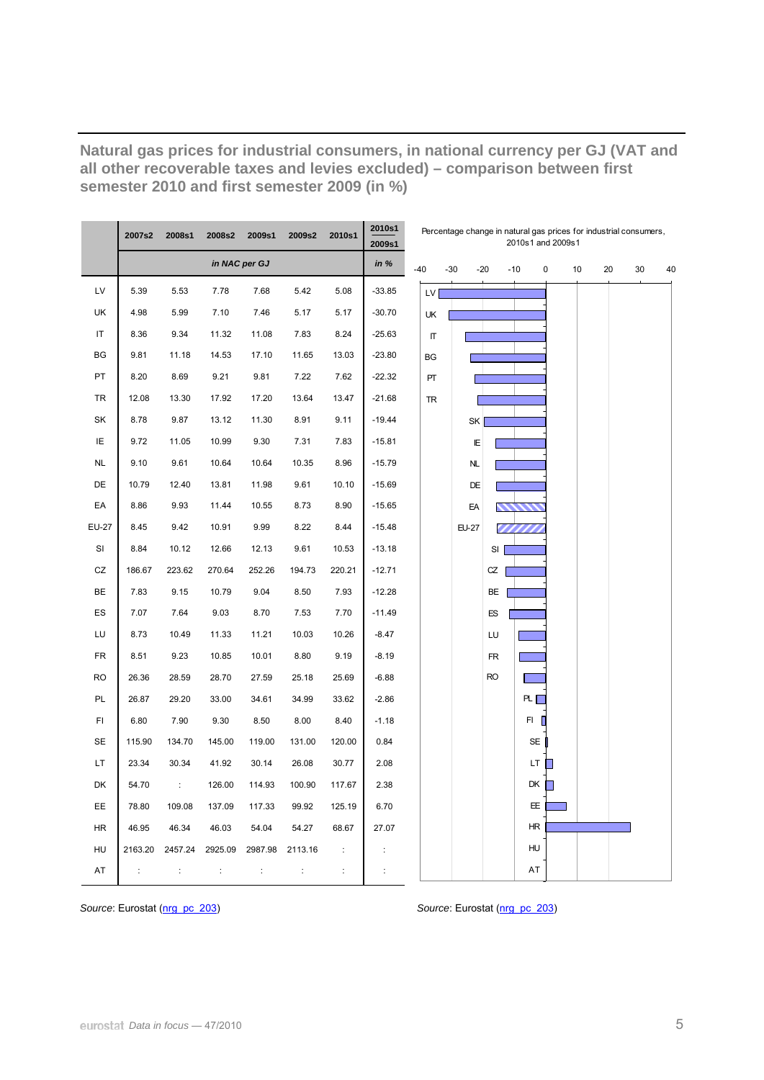|              | 2007s2  | 2008s1    | 2008s2         | 2009s1         | 2009s2  | 2010s1         | 2010s1<br>2009s1 |                    | Percentage change in natural gas prices for industrial consumers, |           |           | 2010s1 and 2009s1 |    |    |    |    |  |
|--------------|---------|-----------|----------------|----------------|---------|----------------|------------------|--------------------|-------------------------------------------------------------------|-----------|-----------|-------------------|----|----|----|----|--|
|              |         |           |                | in NAC per GJ  |         |                | in $%$           | $-40$              | $-30$                                                             | $-20$     | $-10$     | 0                 | 10 | 20 | 30 | 40 |  |
| LV           | 5.39    | 5.53      | 7.78           | 7.68           | 5.42    | 5.08           | $-33.85$         | LV                 |                                                                   |           |           |                   |    |    |    |    |  |
| UK           | 4.98    | 5.99      | 7.10           | 7.46           | 5.17    | 5.17           | $-30.70$         | UK                 |                                                                   |           |           |                   |    |    |    |    |  |
| IT           | 8.36    | 9.34      | 11.32          | 11.08          | 7.83    | 8.24           | $-25.63$         | $\boldsymbol{\Pi}$ |                                                                   |           |           |                   |    |    |    |    |  |
| BG           | 9.81    | 11.18     | 14.53          | 17.10          | 11.65   | 13.03          | $-23.80$         | BG                 |                                                                   |           |           |                   |    |    |    |    |  |
| PT           | 8.20    | 8.69      | 9.21           | 9.81           | 7.22    | 7.62           | $-22.32$         | PT                 |                                                                   |           |           |                   |    |    |    |    |  |
| <b>TR</b>    | 12.08   | 13.30     | 17.92          | 17.20          | 13.64   | 13.47          | $-21.68$         | <b>TR</b>          |                                                                   |           |           |                   |    |    |    |    |  |
| SK           | 8.78    | 9.87      | 13.12          | 11.30          | 8.91    | 9.11           | $-19.44$         |                    | SK                                                                |           |           |                   |    |    |    |    |  |
| ΙE           | 9.72    | 11.05     | 10.99          | 9.30           | 7.31    | 7.83           | $-15.81$         |                    | E                                                                 |           |           |                   |    |    |    |    |  |
| <b>NL</b>    | 9.10    | 9.61      | 10.64          | 10.64          | 10.35   | 8.96           | $-15.79$         |                    | <b>NL</b>                                                         |           |           |                   |    |    |    |    |  |
| DE           | 10.79   | 12.40     | 13.81          | 11.98          | 9.61    | 10.10          | $-15.69$         |                    | DE                                                                |           |           |                   |    |    |    |    |  |
| EA           | 8.86    | 9.93      | 11.44          | 10.55          | 8.73    | 8.90           | $-15.65$         |                    | EA                                                                |           |           |                   |    |    |    |    |  |
| <b>EU-27</b> | 8.45    | 9.42      | 10.91          | 9.99           | 8.22    | 8.44           | $-15.48$         |                    | <b>EU-27</b>                                                      |           |           |                   |    |    |    |    |  |
| SI           | 8.84    | 10.12     | 12.66          | 12.13          | 9.61    | 10.53          | $-13.18$         |                    |                                                                   | SI        |           |                   |    |    |    |    |  |
| CZ           | 186.67  | 223.62    | 270.64         | 252.26         | 194.73  | 220.21         | $-12.71$         |                    |                                                                   | CZ        |           |                   |    |    |    |    |  |
| BE           | 7.83    | 9.15      | 10.79          | 9.04           | 8.50    | 7.93           | $-12.28$         |                    |                                                                   | BE        |           |                   |    |    |    |    |  |
| ES           | 7.07    | 7.64      | 9.03           | 8.70           | 7.53    | 7.70           | $-11.49$         |                    |                                                                   | ES        |           |                   |    |    |    |    |  |
| LU           | 8.73    | 10.49     | 11.33          | 11.21          | 10.03   | 10.26          | $-8.47$          |                    |                                                                   | LU        |           |                   |    |    |    |    |  |
| <b>FR</b>    | 8.51    | 9.23      | 10.85          | 10.01          | 8.80    | 9.19           | $-8.19$          |                    |                                                                   | <b>FR</b> |           |                   |    |    |    |    |  |
| <b>RO</b>    | 26.36   | 28.59     | 28.70          | 27.59          | 25.18   | 25.69          | $-6.88$          |                    |                                                                   | <b>RO</b> |           |                   |    |    |    |    |  |
| PL           | 26.87   | 29.20     | 33.00          | 34.61          | 34.99   | 33.62          | $-2.86$          |                    |                                                                   |           | PL [      |                   |    |    |    |    |  |
| FI           | 6.80    | 7.90      | 9.30           | 8.50           | 8.00    | 8.40           | $-1.18$          |                    |                                                                   |           | FI.       |                   |    |    |    |    |  |
| <b>SE</b>    | 115.90  | 134.70    | 145.00         | 119.00         | 131.00  | 120.00         | 0.84             |                    |                                                                   |           | <b>SE</b> |                   |    |    |    |    |  |
| <b>LT</b>    | 23.34   | 30.34     | 41.92          | 30.14          | 26.08   | 30.77          | 2.08             |                    |                                                                   |           | LT        |                   |    |    |    |    |  |
| DK           | 54.70   | $\sim$ 1. | 126.00         | 114.93         | 100.90  | 117.67         | 2.38             |                    |                                                                   |           | DK        | ۰                 |    |    |    |    |  |
| EE.          | 78.80   | 109.08    | 137.09         | 117.33         | 99.92   | 125.19         | 6.70             |                    |                                                                   |           | EE        |                   |    |    |    |    |  |
| <b>HR</b>    | 46.95   | 46.34     | 46.03          | 54.04          | 54.27   | 68.67          | 27.07            |                    |                                                                   |           | HR        |                   |    |    |    |    |  |
| HU           | 2163.20 | 2457.24   | 2925.09        | 2987.98        | 2113.16 | $\ddot{\cdot}$ |                  |                    |                                                                   |           | HU        |                   |    |    |    |    |  |
| AT           | ÷       | ÷         | $\ddot{\cdot}$ | $\ddot{\cdot}$ | ÷       | $\vdots$       |                  |                    |                                                                   |           | AT        |                   |    |    |    |    |  |

**Natural gas prices for industrial consumers, in national currency per GJ (VAT and all other recoverable taxes and levies excluded) – comparison between first semester 2010 and first semester 2009 (in %)** 

*Source*: Eurostat ([nrg\\_pc\\_203](http://ec.europa.eu/eurostat/product?mode=view&code=nrg_pc_203)) *Source*: Eurostat [\(nrg\\_pc\\_203\)](http://ec.europa.eu/eurostat/product?mode=view&code=nrg_pc_203)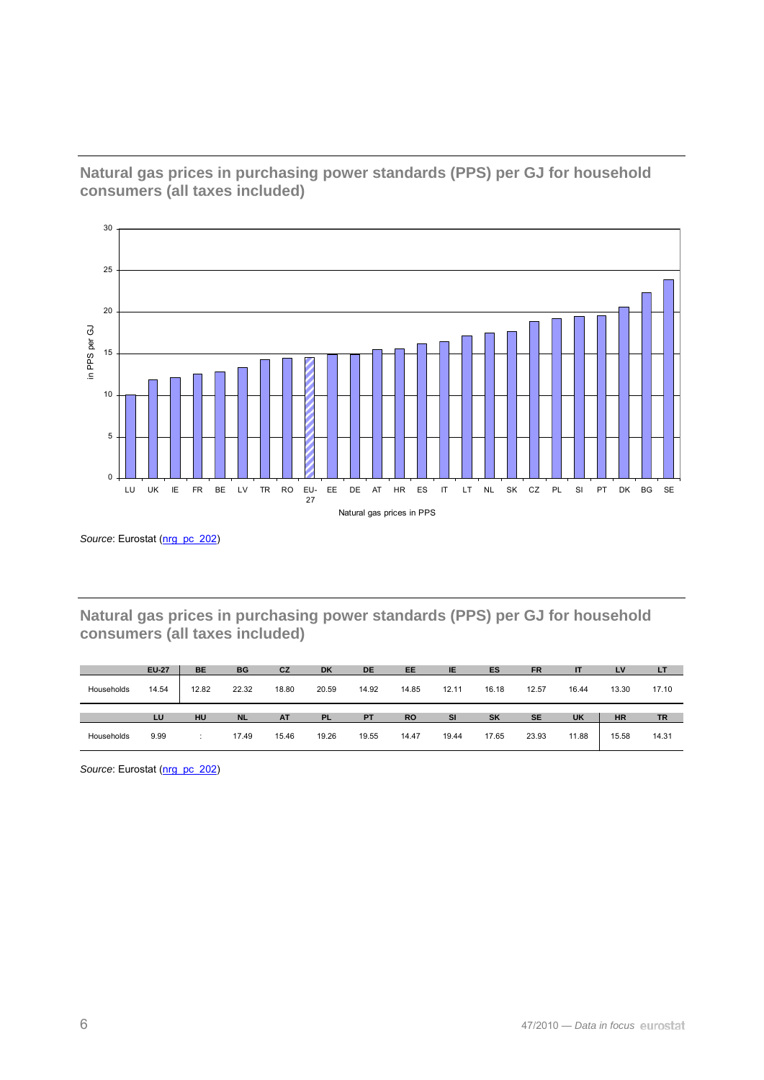

**Natural gas prices in purchasing power standards (PPS) per GJ for household consumers (all taxes included)** 

Source: Eurostat ([nrg\\_pc\\_202](http://ec.europa.eu/eurostat/product?mode=view&code=nrg_pc_202))

**Natural gas prices in purchasing power standards (PPS) per GJ for household consumers (all taxes included)** 

|            | <b>EU-27</b> | <b>BE</b> | BG        | CZ        | <b>DK</b> | <b>DE</b> | <b>EE</b> | IE        | ES        | <b>FR</b> | IT        | LV        | LT    |
|------------|--------------|-----------|-----------|-----------|-----------|-----------|-----------|-----------|-----------|-----------|-----------|-----------|-------|
| Households | 14.54        | 12.82     | 22.32     | 18.80     | 20.59     | 14.92     | 14.85     | 12.11     | 16.18     | 12.57     | 16.44     | 13.30     | 17.10 |
|            |              |           |           |           |           |           |           |           |           |           |           |           |       |
|            | LU           | HU        | <b>NL</b> | <b>AT</b> | <b>PL</b> | <b>PT</b> | <b>RO</b> | <b>SI</b> | <b>SK</b> | <b>SE</b> | <b>UK</b> | <b>HR</b> | TR    |

Source: Eurostat ([nrg\\_pc\\_202](http://ec.europa.eu/eurostat/product?mode=view&code=nrg_pc_202))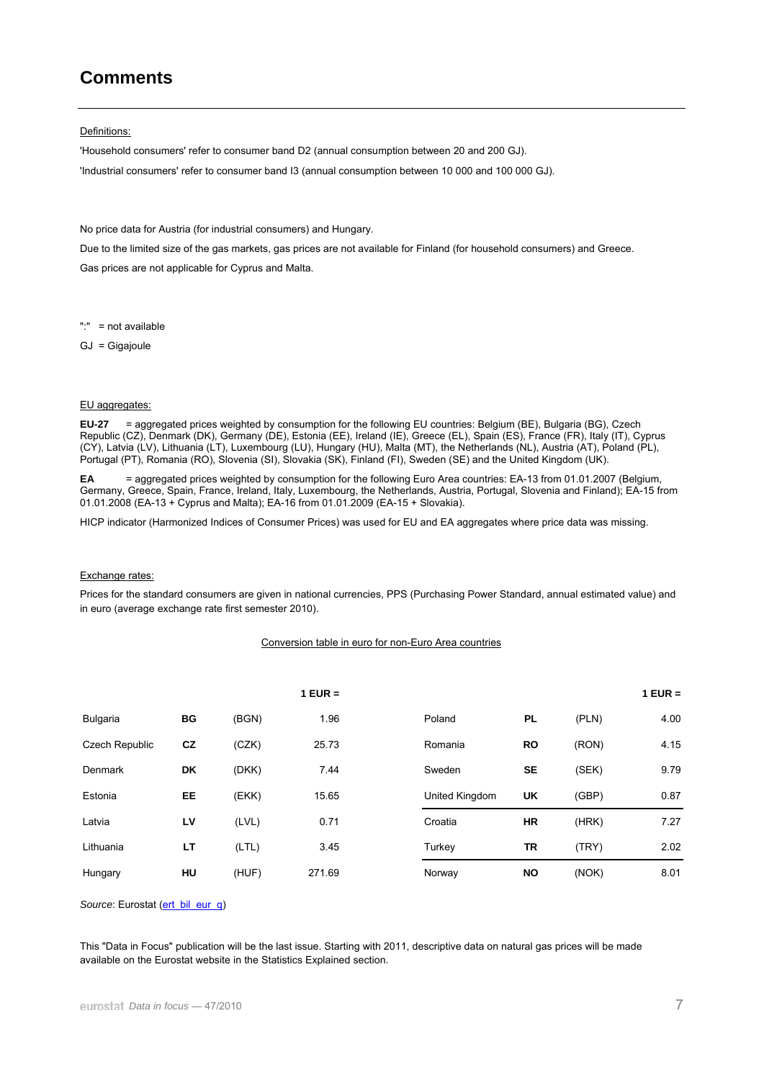# **Comments**

Definitions:

'Household consumers' refer to consumer band D2 (annual consumption between 20 and 200 GJ). 'Industrial consumers' refer to consumer band I3 (annual consumption between 10 000 and 100 000 GJ).

No price data for Austria (for industrial consumers) and Hungary.

Due to the limited size of the gas markets, gas prices are not available for Finland (for household consumers) and Greece.

Gas prices are not applicable for Cyprus and Malta.

":" = not available

GJ = Gigajoule

#### EU aggregates:

**EU-27** = aggregated prices weighted by consumption for the following EU countries: Belgium (BE), Bulgaria (BG), Czech Republic (CZ), Denmark (DK), Germany (DE), Estonia (EE), Ireland (IE), Greece (EL), Spain (ES), France (FR), Italy (IT), Cyprus (CY), Latvia (LV), Lithuania (LT), Luxembourg (LU), Hungary (HU), Malta (MT), the Netherlands (NL), Austria (AT), Poland (PL), Portugal (PT), Romania (RO), Slovenia (SI), Slovakia (SK), Finland (FI), Sweden (SE) and the United Kingdom (UK).

**EA** = aggregated prices weighted by consumption for the following Euro Area countries: EA-13 from 01.01.2007 (Belgium, Germany, Greece, Spain, France, Ireland, Italy, Luxembourg, the Netherlands, Austria, Portugal, Slovenia and Finland); EA-15 from 01.01.2008 (EA-13 + Cyprus and Malta); EA-16 from 01.01.2009 (EA-15 + Slovakia).

HICP indicator (Harmonized Indices of Consumer Prices) was used for EU and EA aggregates where price data was missing.

#### Exchange rates:

Prices for the standard consumers are given in national currencies, PPS (Purchasing Power Standard, annual estimated value) and in euro (average exchange rate first semester 2010).

#### Conversion table in euro for non-Euro Area countries

|                |    |       | $1$ EUR = |                |           |       | $1$ EUR = |
|----------------|----|-------|-----------|----------------|-----------|-------|-----------|
| Bulgaria       | BG | (BGN) | 1.96      | Poland         | <b>PL</b> | (PLN) | 4.00      |
| Czech Republic | cz | (CZK) | 25.73     | Romania        | <b>RO</b> | (RON) | 4.15      |
| Denmark        | DK | (DKK) | 7.44      | Sweden         | <b>SE</b> | (SEK) | 9.79      |
| Estonia        | EE | (EKK) | 15.65     | United Kingdom | <b>UK</b> | (GBP) | 0.87      |
| Latvia         | LV | (LVL) | 0.71      | Croatia        | <b>HR</b> | (HRK) | 7.27      |
| Lithuania      | LT | (LTL) | 3.45      | Turkey         | TR        | (TRY) | 2.02      |
| Hungary        | HU | (HUF) | 271.69    | Norway         | <b>NO</b> | (NOK) | 8.01      |

Source: Eurostat ([ert\\_bil\\_eur\\_q](http://ec.europa.eu/eurostat/product?mode=view&code=ert_bil_eur_q))

This "Data in Focus" publication will be the last issue. Starting with 2011, descriptive data on natural gas prices will be made available on the Eurostat website in the Statistics Explained section.